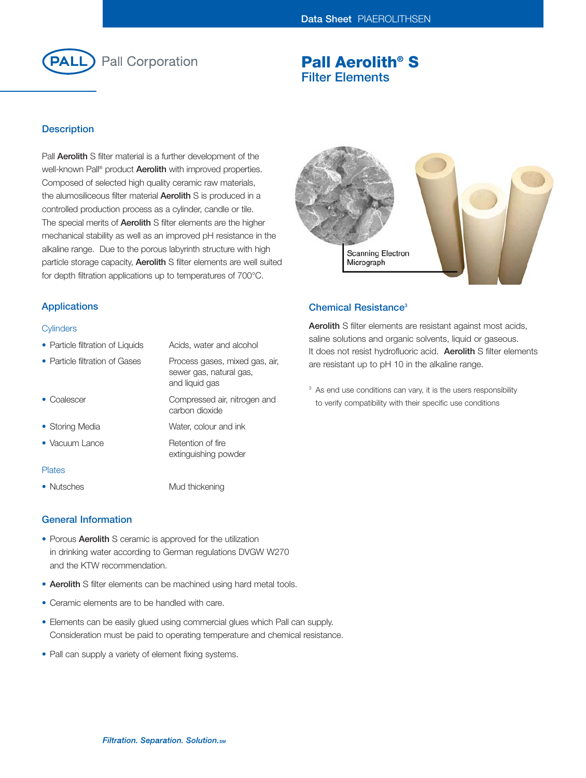

# **Pall Aerolith® S Filter Elements**

## **Description**

Pall **Aerolith** S filter material is a further development of the well-known Pall® product **Aerolith** with improved properties. Composed of selected high quality ceramic raw materials, the alumosiliceous filter material **Aerolith** S is produced in a controlled production process as a cylinder, candle or tile. The special merits of **Aerolith** S filter elements are the higher mechanical stability as well as an improved pH resistance in the alkaline range. Due to the porous labyrinth structure with high particle storage capacity, **Aerolith** S filter elements are well suited for depth filtration applications up to temperatures of 700°C.



## **Applications**

#### **Cylinders**

- Particle filtration of Liquids Acids, water and alcohol
- Particle filtration of Gases Process gases, mixed gas, air, sewer gas, natural gas, and liquid gas • Coalescer Compressed air, nitrogen and carbon dioxide • Storing Media Water, colour and ink
- Vacuum Lance Retention of fire extinguishing powder

#### Plates

• Nutsches Mud thickening

#### **General Information**

- Porous **Aerolith** S ceramic is approved for the utilization in drinking water according to German regulations DVGW W270 and the KTW recommendation.
- **Aerolith** S filter elements can be machined using hard metal tools.
- Ceramic elements are to be handled with care.
- Elements can be easily glued using commercial glues which Pall can supply. Consideration must be paid to operating temperature and chemical resistance.
- Pall can supply a variety of element fixing systems.

## **Chemical Resistance3**

**Aerolith** S filter elements are resistant against most acids, saline solutions and organic solvents, liquid or gaseous. It does not resist hydrofluoric acid. **Aerolith** S filter elements are resistant up to pH 10 in the alkaline range.

<sup>3</sup> As end use conditions can vary, it is the users responsibility to verify compatibility with their specific use conditions